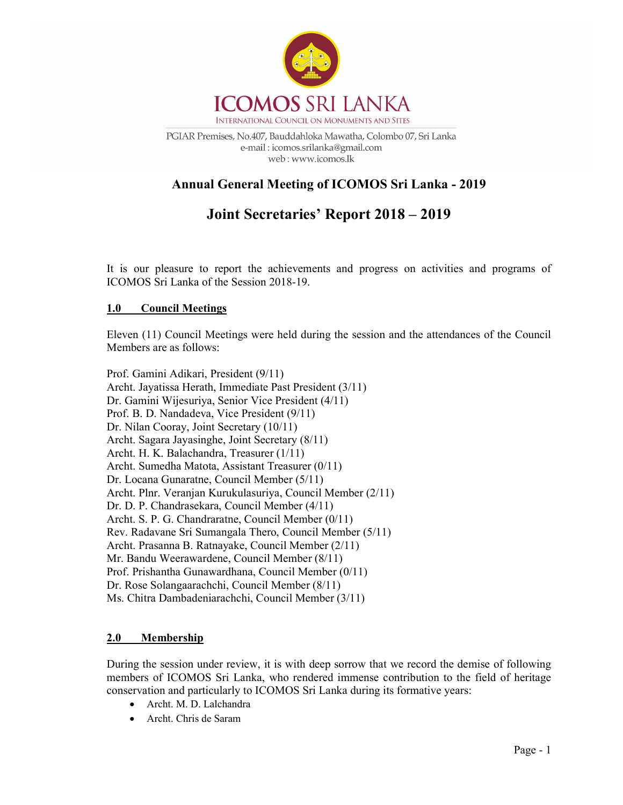

PGIAR Premises, No.407, Bauddahloka Mawatha, Colombo 07, Sri Lanka e-mail: icomos.srilanka@gmail.com web: www.icomos.lk

## Annual General Meeting of ICOMOS Sri Lanka - 2019

# Joint Secretaries' Report 2018 – 2019

It is our pleasure to report the achievements and progress on activities and programs of ICOMOS Sri Lanka of the Session 2018-19.

## 1.0 Council Meetings

Eleven (11) Council Meetings were held during the session and the attendances of the Council Members are as follows:

Prof. Gamini Adikari, President (9/11) Archt. Jayatissa Herath, Immediate Past President (3/11) Dr. Gamini Wijesuriya, Senior Vice President (4/11) Prof. B. D. Nandadeva, Vice President (9/11) Dr. Nilan Cooray, Joint Secretary (10/11) Archt. Sagara Jayasinghe, Joint Secretary (8/11) Archt. H. K. Balachandra, Treasurer (1/11) Archt. Sumedha Matota, Assistant Treasurer (0/11) Dr. Locana Gunaratne, Council Member (5/11) Archt. Plnr. Veranjan Kurukulasuriya, Council Member (2/11) Dr. D. P. Chandrasekara, Council Member (4/11) Archt. S. P. G. Chandraratne, Council Member (0/11) Rev. Radavane Sri Sumangala Thero, Council Member (5/11) Archt. Prasanna B. Ratnayake, Council Member (2/11) Mr. Bandu Weerawardene, Council Member (8/11) Prof. Prishantha Gunawardhana, Council Member (0/11) Dr. Rose Solangaarachchi, Council Member (8/11) Ms. Chitra Dambadeniarachchi, Council Member (3/11)

## 2.0 Membership

During the session under review, it is with deep sorrow that we record the demise of following members of ICOMOS Sri Lanka, who rendered immense contribution to the field of heritage conservation and particularly to ICOMOS Sri Lanka during its formative years:

- Archt. M. D. Lalchandra
- Archt. Chris de Saram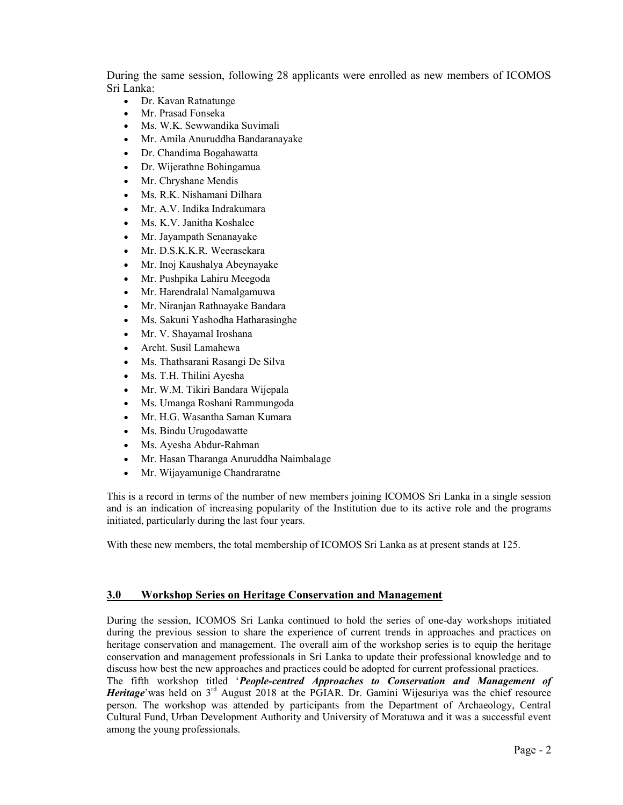During the same session, following 28 applicants were enrolled as new members of ICOMOS Sri Lanka:

- Dr. Kavan Ratnatunge
- Mr. Prasad Fonseka
- Ms. W.K. Sewwandika Suvimali
- Mr. Amila Anuruddha Bandaranayake
- Dr. Chandima Bogahawatta
- Dr. Wijerathne Bohingamua
- Mr. Chryshane Mendis
- Ms. R.K. Nishamani Dilhara
- Mr. A.V. Indika Indrakumara
- Ms. K.V. Janitha Koshalee
- Mr. Jayampath Senanayake
- Mr. D.S.K.K.R. Weerasekara
- Mr. Inoj Kaushalya Abeynayake
- Mr. Pushpika Lahiru Meegoda
- Mr. Harendralal Namalgamuwa
- Mr. Niranjan Rathnayake Bandara
- Ms. Sakuni Yashodha Hatharasinghe
- Mr. V. Shayamal Iroshana
- Archt. Susil Lamahewa
- Ms. Thathsarani Rasangi De Silva
- Ms. T.H. Thilini Ayesha
- Mr. W.M. Tikiri Bandara Wijepala
- Ms. Umanga Roshani Rammungoda
- Mr. H.G. Wasantha Saman Kumara
- Ms. Bindu Urugodawatte
- Ms. Ayesha Abdur-Rahman
- Mr. Hasan Tharanga Anuruddha Naimbalage
- Mr. Wijayamunige Chandraratne

This is a record in terms of the number of new members joining ICOMOS Sri Lanka in a single session and is an indication of increasing popularity of the Institution due to its active role and the programs initiated, particularly during the last four years.

With these new members, the total membership of ICOMOS Sri Lanka as at present stands at 125.

## 3.0 Workshop Series on Heritage Conservation and Management

During the session, ICOMOS Sri Lanka continued to hold the series of one-day workshops initiated during the previous session to share the experience of current trends in approaches and practices on heritage conservation and management. The overall aim of the workshop series is to equip the heritage conservation and management professionals in Sri Lanka to update their professional knowledge and to discuss how best the new approaches and practices could be adopted for current professional practices.

The fifth workshop titled 'People-centred Approaches to Conservation and Management of Heritage' was held on 3<sup>rd</sup> August 2018 at the PGIAR. Dr. Gamini Wijesuriya was the chief resource person. The workshop was attended by participants from the Department of Archaeology, Central Cultural Fund, Urban Development Authority and University of Moratuwa and it was a successful event among the young professionals.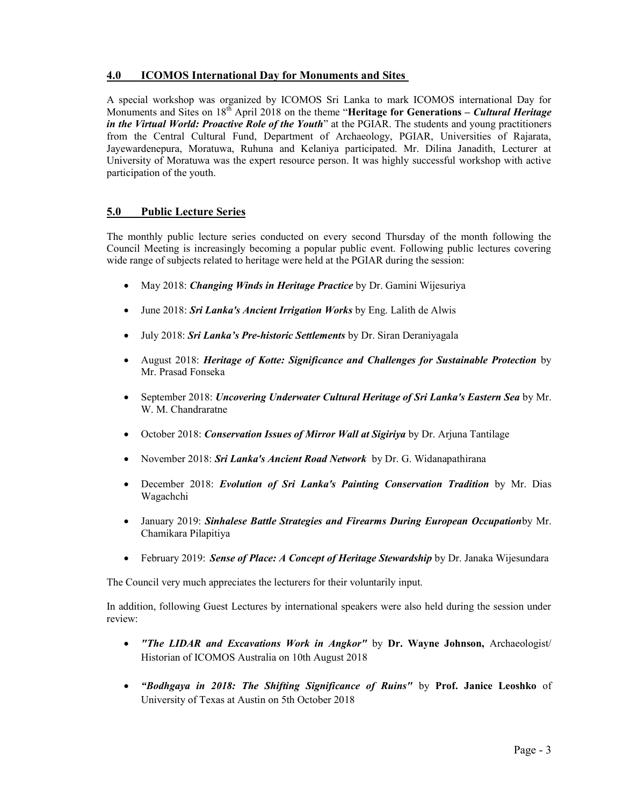## 4.0 ICOMOS International Day for Monuments and Sites

A special workshop was organized by ICOMOS Sri Lanka to mark ICOMOS international Day for Monuments and Sites on  $18^{th}$  April 2018 on the theme "Heritage for Generations – Cultural Heritage in the Virtual World: Proactive Role of the Youth" at the PGIAR. The students and young practitioners from the Central Cultural Fund, Department of Archaeology, PGIAR, Universities of Rajarata, Jayewardenepura, Moratuwa, Ruhuna and Kelaniya participated. Mr. Dilina Janadith, Lecturer at University of Moratuwa was the expert resource person. It was highly successful workshop with active participation of the youth.

## 5.0 Public Lecture Series

The monthly public lecture series conducted on every second Thursday of the month following the Council Meeting is increasingly becoming a popular public event. Following public lectures covering wide range of subjects related to heritage were held at the PGIAR during the session:

- May 2018: Changing Winds in Heritage Practice by Dr. Gamini Wijesuriya
- June 2018: Sri Lanka's Ancient Irrigation Works by Eng. Lalith de Alwis
- July 2018: Sri Lanka's Pre-historic Settlements by Dr. Siran Deraniyagala
- August 2018: Heritage of Kotte: Significance and Challenges for Sustainable Protection by Mr. Prasad Fonseka
- September 2018: Uncovering Underwater Cultural Heritage of Sri Lanka's Eastern Sea by Mr. W<sub>M</sub> Chandraratne
- October 2018: *Conservation Issues of Mirror Wall at Sigiriya* by Dr. Arjuna Tantilage
- November 2018: Sri Lanka's Ancient Road Network by Dr. G. Widanapathirana
- December 2018: Evolution of Sri Lanka's Painting Conservation Tradition by Mr. Dias Wagachchi
- January 2019: Sinhalese Battle Strategies and Firearms During European Occupationby Mr. Chamikara Pilapitiya
- February 2019: Sense of Place: A Concept of Heritage Stewardship by Dr. Janaka Wijesundara

The Council very much appreciates the lecturers for their voluntarily input.

In addition, following Guest Lectures by international speakers were also held during the session under review:

- "The LIDAR and Excavations Work in Angkor" by Dr. Wayne Johnson, Archaeologist/ Historian of ICOMOS Australia on 10th August 2018
- "Bodhgaya in 2018: The Shifting Significance of Ruins" by Prof. Janice Leoshko of University of Texas at Austin on 5th October 2018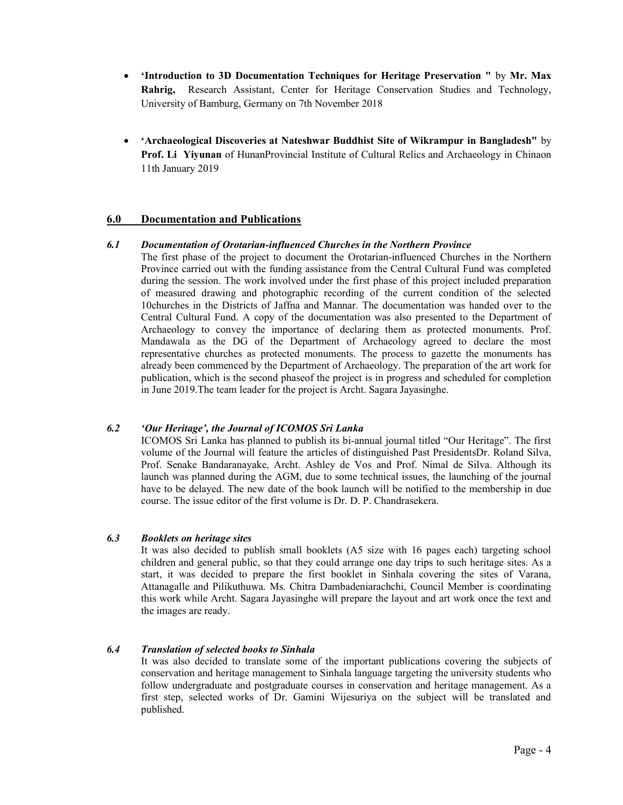- 'Introduction to 3D Documentation Techniques for Heritage Preservation " by Mr. Max Rahrig, Research Assistant, Center for Heritage Conservation Studies and Technology, University of Bamburg, Germany on 7th November 2018
- 'Archaeological Discoveries at Nateshwar Buddhist Site of Wikrampur in Bangladesh" by Prof. Li Yiyunan of HunanProvincial Institute of Cultural Relics and Archaeology in Chinaon 11th January 2019

#### 6.0 Documentation and Publications

#### 6.1 Documentation of Orotarian-influenced Churches in the Northern Province

The first phase of the project to document the Orotarian-influenced Churches in the Northern Province carried out with the funding assistance from the Central Cultural Fund was completed during the session. The work involved under the first phase of this project included preparation of measured drawing and photographic recording of the current condition of the selected 10churches in the Districts of Jaffna and Mannar. The documentation was handed over to the Central Cultural Fund. A copy of the documentation was also presented to the Department of Archaeology to convey the importance of declaring them as protected monuments. Prof. Mandawala as the DG of the Department of Archaeology agreed to declare the most representative churches as protected monuments. The process to gazette the monuments has already been commenced by the Department of Archaeology. The preparation of the art work for publication, which is the second phaseof the project is in progress and scheduled for completion in June 2019.The team leader for the project is Archt. Sagara Jayasinghe.

#### 6.2 'Our Heritage', the Journal of ICOMOS Sri Lanka

ICOMOS Sri Lanka has planned to publish its bi-annual journal titled "Our Heritage". The first volume of the Journal will feature the articles of distinguished Past PresidentsDr. Roland Silva, Prof. Senake Bandaranayake, Archt. Ashley de Vos and Prof. Nimal de Silva. Although its launch was planned during the AGM, due to some technical issues, the launching of the journal have to be delayed. The new date of the book launch will be notified to the membership in due course. The issue editor of the first volume is Dr. D. P. Chandrasekera.

#### 6.3 Booklets on heritage sites

It was also decided to publish small booklets (A5 size with 16 pages each) targeting school children and general public, so that they could arrange one day trips to such heritage sites. As a start, it was decided to prepare the first booklet in Sinhala covering the sites of Varana, Attanagalle and Pilikuthuwa. Ms. Chitra Dambadeniarachchi, Council Member is coordinating this work while Archt. Sagara Jayasinghe will prepare the layout and art work once the text and the images are ready.

#### 6.4 Translation of selected books to Sinhala

It was also decided to translate some of the important publications covering the subjects of conservation and heritage management to Sinhala language targeting the university students who follow undergraduate and postgraduate courses in conservation and heritage management. As a first step, selected works of Dr. Gamini Wijesuriya on the subject will be translated and published.